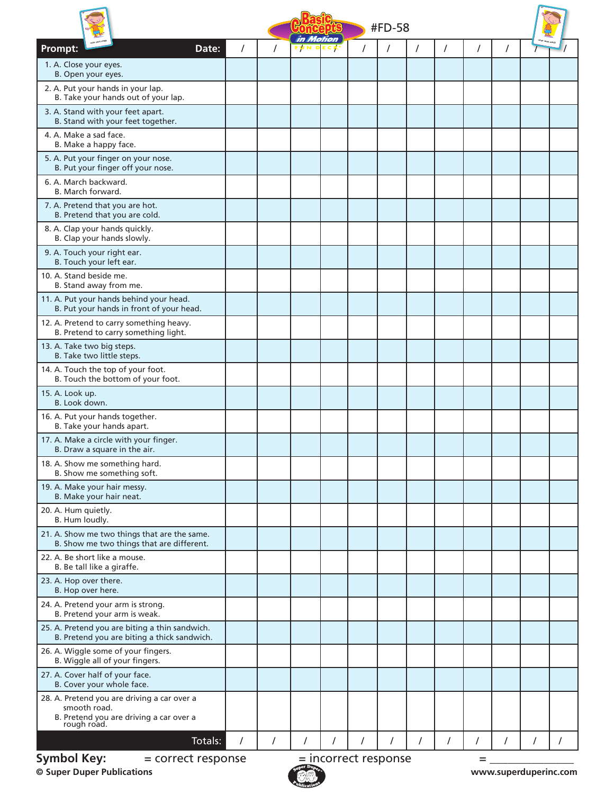|                                                                                                                                | #FD-58<br>in Motion |          |                |   |  |  |   |          |          |          |   |   |
|--------------------------------------------------------------------------------------------------------------------------------|---------------------|----------|----------------|---|--|--|---|----------|----------|----------|---|---|
| Prompt:<br>Date:                                                                                                               | $\prime$            |          | <b>FUNDECK</b> |   |  |  | 7 | $\prime$ | $\prime$ | $\prime$ |   |   |
| 1. A. Close your eyes.<br>B. Open your eyes.                                                                                   |                     |          |                |   |  |  |   |          |          |          |   |   |
| 2. A. Put your hands in your lap.<br>B. Take your hands out of your lap.                                                       |                     |          |                |   |  |  |   |          |          |          |   |   |
| 3. A. Stand with your feet apart.<br>B. Stand with your feet together.                                                         |                     |          |                |   |  |  |   |          |          |          |   |   |
| 4. A. Make a sad face.<br>B. Make a happy face.                                                                                |                     |          |                |   |  |  |   |          |          |          |   |   |
| 5. A. Put your finger on your nose.<br>B. Put your finger off your nose.                                                       |                     |          |                |   |  |  |   |          |          |          |   |   |
| 6. A. March backward.<br>B. March forward.                                                                                     |                     |          |                |   |  |  |   |          |          |          |   |   |
| 7. A. Pretend that you are hot.<br>B. Pretend that you are cold.                                                               |                     |          |                |   |  |  |   |          |          |          |   |   |
| 8. A. Clap your hands quickly.<br>B. Clap your hands slowly.                                                                   |                     |          |                |   |  |  |   |          |          |          |   |   |
| 9. A. Touch your right ear.<br>B. Touch your left ear.                                                                         |                     |          |                |   |  |  |   |          |          |          |   |   |
| 10. A. Stand beside me.<br>B. Stand away from me.                                                                              |                     |          |                |   |  |  |   |          |          |          |   |   |
| 11. A. Put your hands behind your head.<br>B. Put your hands in front of your head.                                            |                     |          |                |   |  |  |   |          |          |          |   |   |
| 12. A. Pretend to carry something heavy.<br>B. Pretend to carry something light.                                               |                     |          |                |   |  |  |   |          |          |          |   |   |
| 13. A. Take two big steps.<br>B. Take two little steps.                                                                        |                     |          |                |   |  |  |   |          |          |          |   |   |
| 14. A. Touch the top of your foot.<br>B. Touch the bottom of your foot.                                                        |                     |          |                |   |  |  |   |          |          |          |   |   |
| 15. A. Look up.<br>B. Look down.                                                                                               |                     |          |                |   |  |  |   |          |          |          |   |   |
| 16. A. Put your hands together.<br>B. Take your hands apart.                                                                   |                     |          |                |   |  |  |   |          |          |          |   |   |
| 17. A. Make a circle with your finger.<br>B. Draw a square in the air.                                                         |                     |          |                |   |  |  |   |          |          |          |   |   |
| 18. A. Show me something hard.<br>B. Show me something soft.                                                                   |                     |          |                |   |  |  |   |          |          |          |   |   |
| 19. A. Make your hair messy.<br>B. Make your hair neat.                                                                        |                     |          |                |   |  |  |   |          |          |          |   |   |
| 20. A. Hum quietly.<br>B. Hum loudly.                                                                                          |                     |          |                |   |  |  |   |          |          |          |   |   |
| 21. A. Show me two things that are the same.<br>B. Show me two things that are different.                                      |                     |          |                |   |  |  |   |          |          |          |   |   |
| 22. A. Be short like a mouse.<br>B. Be tall like a giraffe.                                                                    |                     |          |                |   |  |  |   |          |          |          |   |   |
| 23. A. Hop over there.<br>B. Hop over here.                                                                                    |                     |          |                |   |  |  |   |          |          |          |   |   |
| 24. A. Pretend your arm is strong.<br>B. Pretend your arm is weak.                                                             |                     |          |                |   |  |  |   |          |          |          |   |   |
| 25. A. Pretend you are biting a thin sandwich.<br>B. Pretend you are biting a thick sandwich.                                  |                     |          |                |   |  |  |   |          |          |          |   |   |
| 26. A. Wiggle some of your fingers.<br>B. Wiggle all of your fingers.                                                          |                     |          |                |   |  |  |   |          |          |          |   |   |
| 27. A. Cover half of your face.<br>B. Cover your whole face.                                                                   |                     |          |                |   |  |  |   |          |          |          |   |   |
| 28. A. Pretend you are driving a car over a<br>smooth road.<br>B. Pretend you are driving a car over a<br>rough road.          |                     |          |                |   |  |  |   |          |          |          |   |   |
| Totals:                                                                                                                        | $\prime$            | $\prime$ |                | I |  |  |   | $\prime$ |          |          | 7 | T |
| <b>Symbol Key:</b><br>$=$ incorrect response<br>= correct response<br>=<br>© Super Duper Publications<br>www.superduperinc.com |                     |          |                |   |  |  |   |          |          |          |   |   |

**© Super Duper Publications www.superduperinc.com**